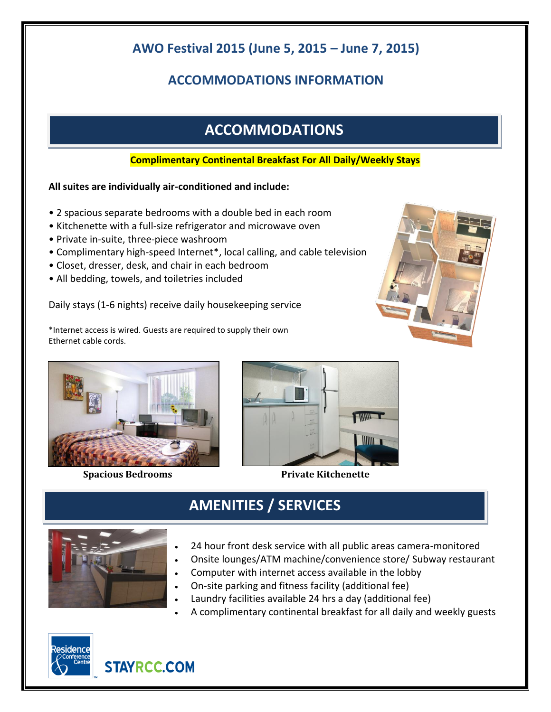## **AWO Festival 2015 (June 5, 2015 – June 7, 2015)**

## **ACCOMMODATIONS INFORMATION**

# **ACCOMMODATIONS**

### **Complimentary Continental Breakfast For All Daily/Weekly Stays**

### **All suites are individually air-conditioned and include:**

- 2 spacious separate bedrooms with a double bed in each room
- Kitchenette with a full-size refrigerator and microwave oven
- Private in-suite, three-piece washroom
- Complimentary high-speed Internet\*, local calling, and cable television
- Closet, dresser, desk, and chair in each bedroom
- All bedding, towels, and toiletries included

Daily stays (1-6 nights) receive daily housekeeping service

\*Internet access is wired. Guests are required to supply their own Ethernet cable cords.





**Spacious Bedrooms** Private Kitchenette



**AMENITIES / SERVICES**

- 24 hour front desk service with all public areas camera-monitored
- Onsite lounges/ATM machine/convenience store/ Subway restaurant
- Computer with internet access available in the lobby
- On-site parking and fitness facility (additional fee)
- Laundry facilities available 24 hrs a day (additional fee)
- A complimentary continental breakfast for all daily and weekly guests





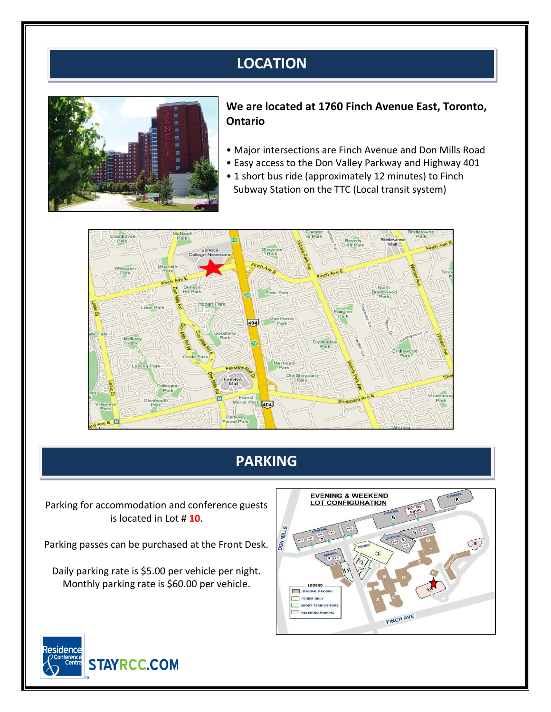# **LOCATION**



#### **We are located at 1760 Finch Avenue East, Toronto, Ontario**

- Major intersections are Finch Avenue and Don Mills Road
- Easy access to the Don Valley Parkway and Highway 401
- 1 short bus ride (approximately 12 minutes) to Finch Subway Station on the TTC (Local transit system)



## **PARKING**

Parking for accommodation and conference guests is located in Lot # **10**.

Parking passes can be purchased at the Front Desk.

Daily parking rate is \$5.00 per vehicle per night. Monthly parking rate is \$60.00 per vehicle.